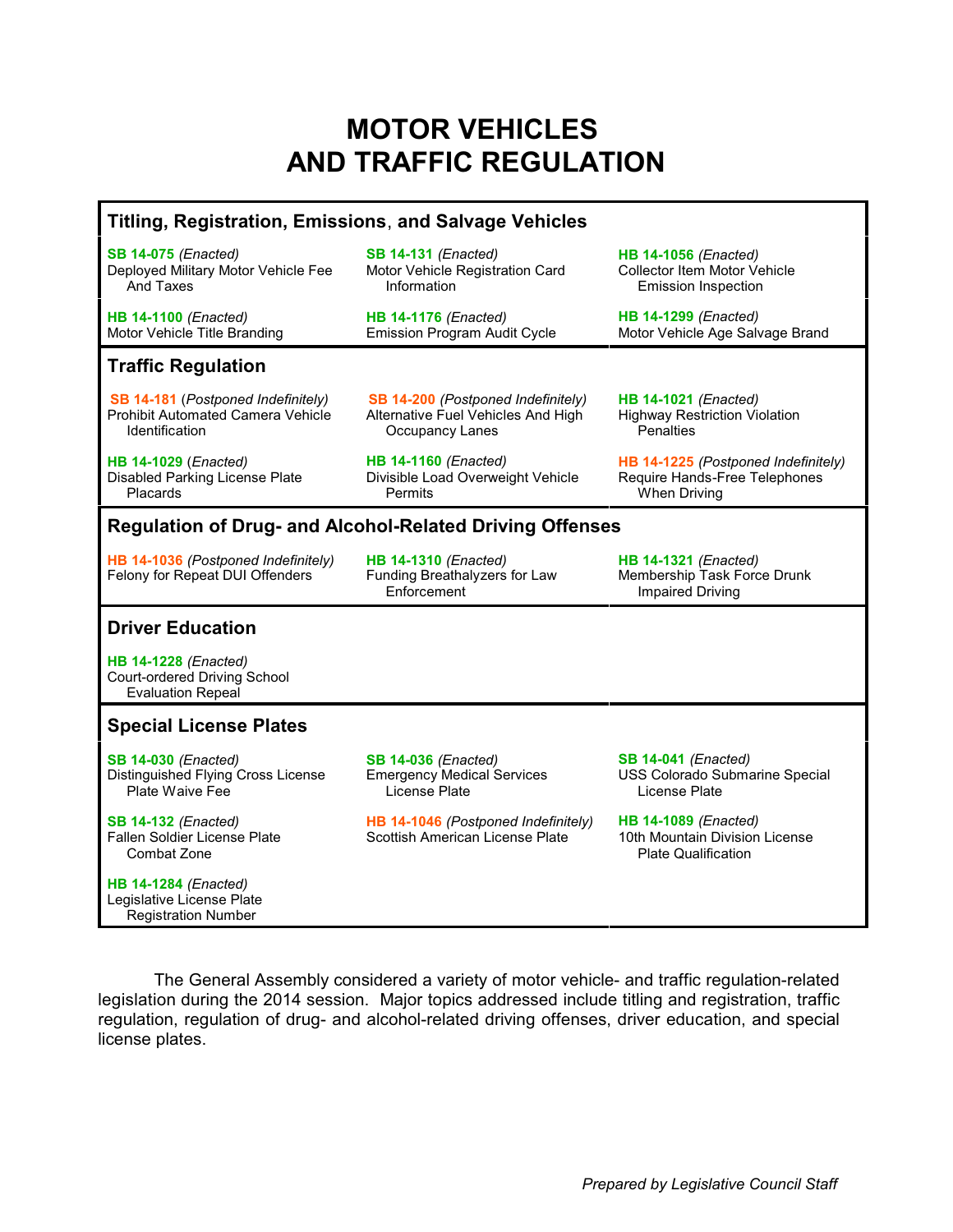# **MOTOR VEHICLES AND TRAFFIC REGULATION**

#### **Titling, Registration, Emissions**, **and Salvage Vehicles**

**[SB 14-075](#page-1-0)** *(Enacted)* Deployed Military Motor Vehicle Fee And Taxes

**[SB 14-131](#page-2-0)** *(Enacted)* Motor Vehicle Registration Card Information

**[HB 14-1100](#page-1-0)** *(Enacted)* Motor Vehicle Title Branding **[HB 14-1176](#page-2-0)** *(Enacted)* Emission Program Audit Cycle **[HB 14-1056](#page-2-0)** *(Enacted)* Collector Item Motor Vehicle Emission Inspection

**[HB 14-1299](#page-2-0)** *(Enacted)* Motor Vehicle Age Salvage Brand

### **Traffic Regulation**

**[SB 14-181](#page-3-0)** (*Postponed Indefinitely)* Prohibit Automated Camera Vehicle Identification

**[HB 14-1029](#page-3-0)** (*Enacted)* Disabled Parking License Plate Placards

**[SB 14-200](#page-3-0)** *(Postponed Indefinitely)* Alternative Fuel Vehicles And High Occupancy Lanes

**[HB 14-1160](#page-2-0)** *(Enacted)* Divisible Load Overweight Vehicle Permits

**[HB 14-1021](#page-2-0)** *(Enacted)* Highway Restriction Violation **Penalties** 

**[HB 14-1225](#page-3-0)** *(Postponed Indefinitely)* Require Hands-Free Telephones When Driving

#### **Regulation of Drug- and Alcohol-Related Driving Offenses**

**[HB 14-1036](#page-4-0)** *(Postponed Indefinitely)* Felony for Repeat DUI Offenders

**[HB 14-1310](#page-4-0)** *(Enacted)* Funding Breathalyzers for Law **Enforcement** 

**[HB 14-1321](#page-5-0)** *(Enacted)* Membership Task Force Drunk Impaired Driving

#### **Driver Education**

**[HB 14-1228](#page-5-0)** *(Enacted)* Court-ordered Driving School Evaluation Repeal

#### **Special License Plates**

**[SB 14-030](#page-5-0)** *(Enacted)* Distinguished Flying Cross License Plate Waive Fee

**[SB 14-132](#page-6-0)** *(Enacted)* Fallen Soldier License Plate Combat Zone

**[HB 14-1284](#page-6-0)** *(Enacted)* Legislative License Plate Registration Number

**[SB 14-036](#page-5-0)** *(Enacted)* Emergency Medical Services License Plate

**[HB 14-1046](#page-6-0)** *(Postponed Indefinitely)* Scottish American License Plate

**[SB 14-041](#page-6-0)** *(Enacted)* USS Colorado Submarine Special License Plate

**[HB 14-1089](#page-6-0)** *(Enacted)* 10th Mountain Division License Plate Qualification

The General Assembly considered a variety of motor vehicle- and traffic regulation-related legislation during the 2014 session. Major topics addressed include titling and registration, traffic regulation, regulation of drug- and alcohol-related driving offenses, driver education, and special license plates.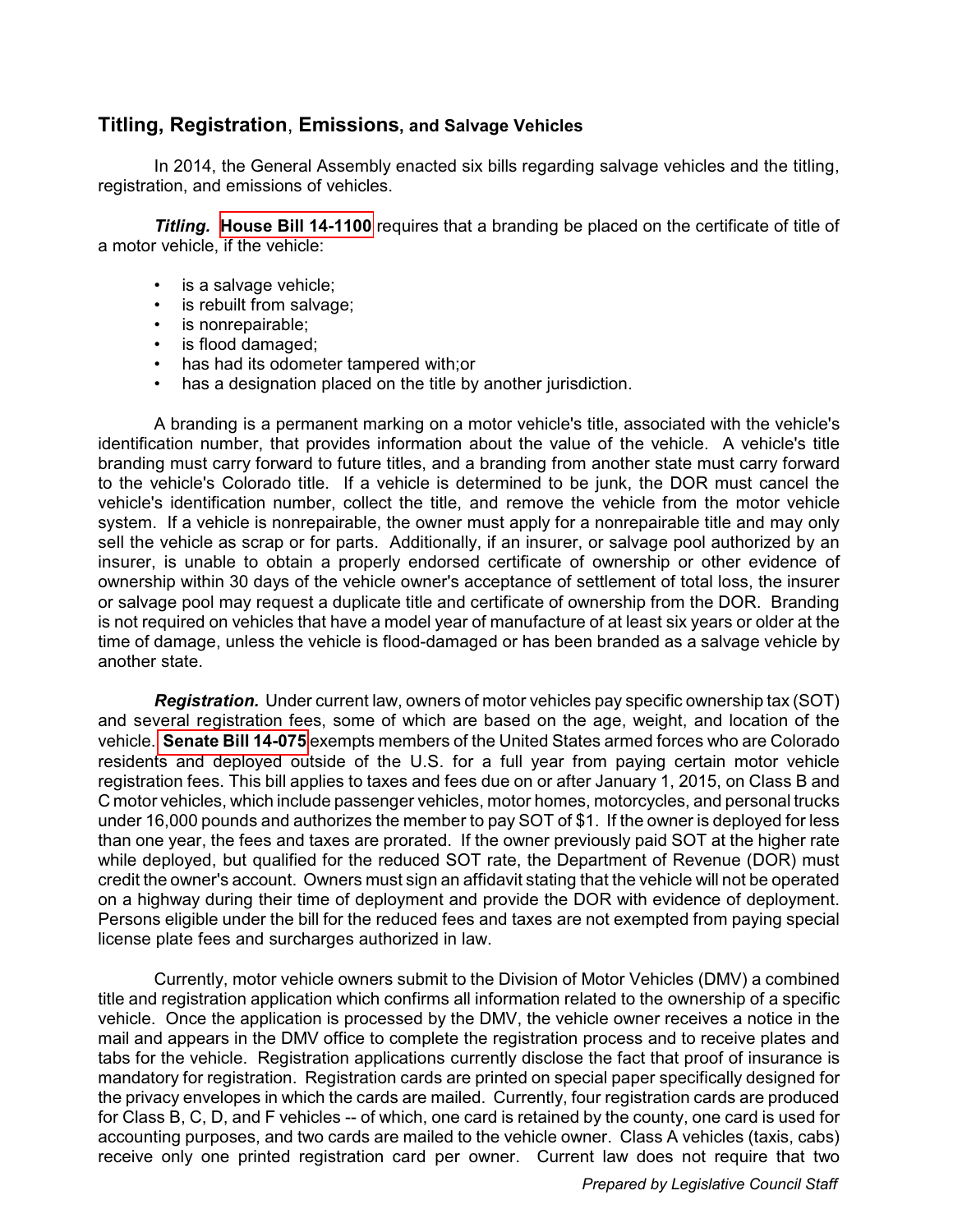#### <span id="page-1-0"></span>**Titling, Registration**, **Emissions, and Salvage Vehicles**

In 2014, the General Assembly enacted six bills regarding salvage vehicles and the titling, registration, and emissions of vehicles.

*Titling.* **[House Bill 14-1100](http://www.leg.state.co.us/Clics/CLICS2014A/csl.nsf/fsbillcont3/CD2DABDC4450E40687257C300006D224?Open&file=1100_enr.pdf)** requires that a branding be placed on the certificate of title of a motor vehicle, if the vehicle:

- is a salvage vehicle;
- is rebuilt from salvage;
- is nonrepairable;
- is flood damaged;
- has had its odometer tampered with;or
- has a designation placed on the title by another jurisdiction.

A branding is a permanent marking on a motor vehicle's title, associated with the vehicle's identification number, that provides information about the value of the vehicle. A vehicle's title branding must carry forward to future titles, and a branding from another state must carry forward to the vehicle's Colorado title. If a vehicle is determined to be junk, the DOR must cancel the vehicle's identification number, collect the title, and remove the vehicle from the motor vehicle system. If a vehicle is nonrepairable, the owner must apply for a nonrepairable title and may only sell the vehicle as scrap or for parts. Additionally, if an insurer, or salvage pool authorized by an insurer, is unable to obtain a properly endorsed certificate of ownership or other evidence of ownership within 30 days of the vehicle owner's acceptance of settlement of total loss, the insurer or salvage pool may request a duplicate title and certificate of ownership from the DOR. Branding is not required on vehicles that have a model year of manufacture of at least six years or older at the time of damage, unless the vehicle is flood-damaged or has been branded as a salvage vehicle by another state.

*Registration.* Under current law, owners of motor vehicles pay specific ownership tax (SOT) and several registration fees, some of which are based on the age, weight, and location of the vehicle. **[Senate Bill 14-075](http://www.leg.state.co.us/Clics/CLICS2014A/csl.nsf/fsbillcont3/5C1359BBD104939A87257C300005D64C?Open&file=075_enr.pdf)** exempts members of the United States armed forces who are Colorado residents and deployed outside of the U.S. for a full year from paying certain motor vehicle registration fees. This bill applies to taxes and fees due on or after January 1, 2015, on Class B and C motor vehicles, which include passenger vehicles, motor homes, motorcycles, and personal trucks under 16,000 pounds and authorizes the member to pay SOT of \$1. If the owner is deployed for less than one year, the fees and taxes are prorated. If the owner previously paid SOT at the higher rate while deployed, but qualified for the reduced SOT rate, the Department of Revenue (DOR) must credit the owner's account. Owners must sign an affidavit stating that the vehicle will not be operated on a highway during their time of deployment and provide the DOR with evidence of deployment. Persons eligible under the bill for the reduced fees and taxes are not exempted from paying special license plate fees and surcharges authorized in law.

Currently, motor vehicle owners submit to the Division of Motor Vehicles (DMV) a combined title and registration application which confirms all information related to the ownership of a specific vehicle. Once the application is processed by the DMV, the vehicle owner receives a notice in the mail and appears in the DMV office to complete the registration process and to receive plates and tabs for the vehicle. Registration applications currently disclose the fact that proof of insurance is mandatory for registration. Registration cards are printed on special paper specifically designed for the privacy envelopes in which the cards are mailed. Currently, four registration cards are produced for Class B, C, D, and F vehicles -- of which, one card is retained by the county, one card is used for accounting purposes, and two cards are mailed to the vehicle owner. Class A vehicles (taxis, cabs) receive only one printed registration card per owner. Current law does not require that two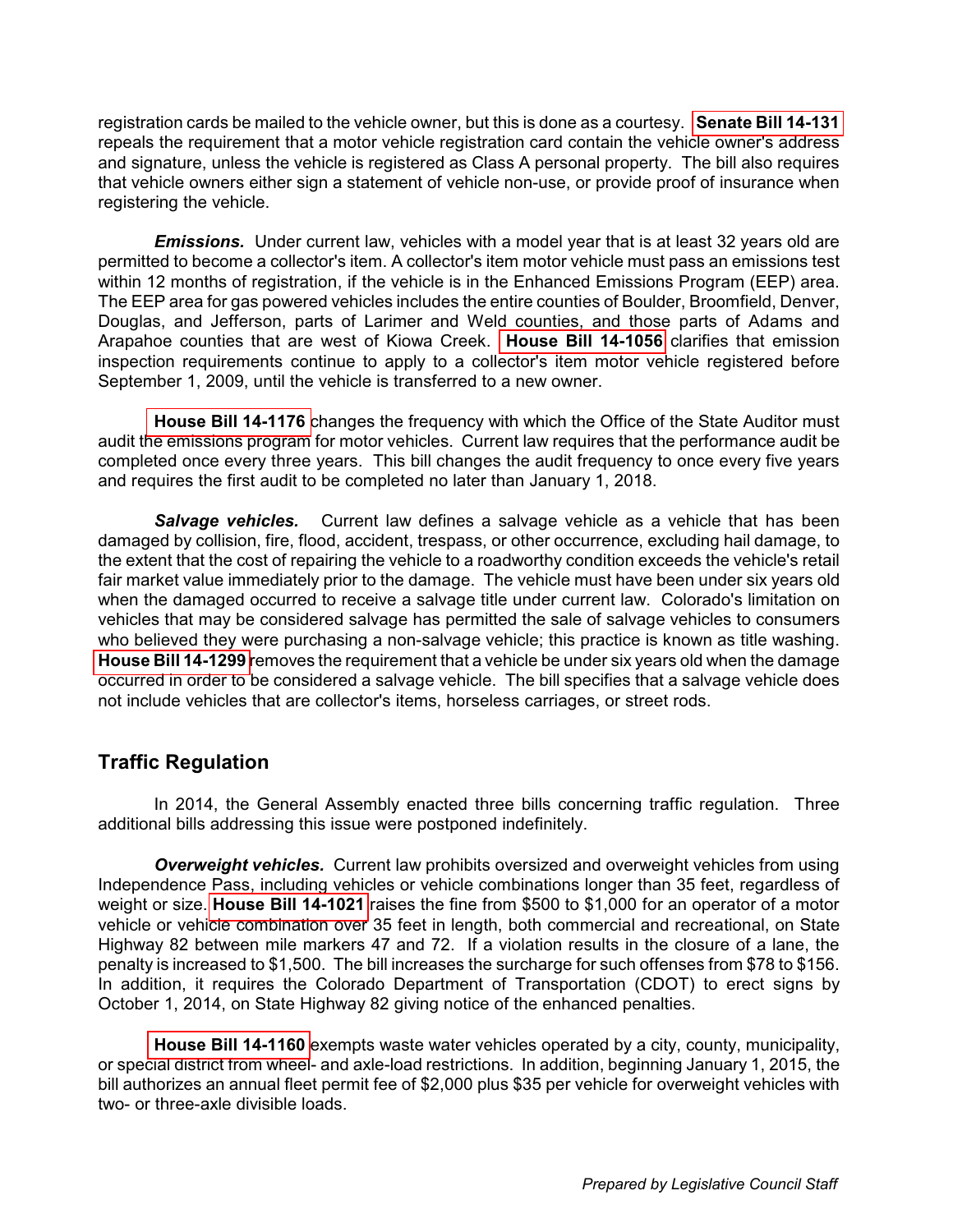<span id="page-2-0"></span>registration cards be mailed to the vehicle owner, but this is done as a courtesy. **[Senate Bill 14-131](http://www.leg.state.co.us/Clics/CLICS2014A/csl.nsf/fsbillcont3/92E04FEBE60FD24187257C5B005CE956?Open&file=131_enr.pdf)** repeals the requirement that a motor vehicle registration card contain the vehicle owner's address and signature, unless the vehicle is registered as Class A personal property. The bill also requires that vehicle owners either sign a statement of vehicle non-use, or provide proof of insurance when registering the vehicle.

*Emissions.* Under current law, vehicles with a model year that is at least 32 years old are permitted to become a collector's item. A collector's item motor vehicle must pass an emissions test within 12 months of registration, if the vehicle is in the Enhanced Emissions Program (EEP) area. The EEP area for gas powered vehicles includes the entire counties of Boulder, Broomfield, Denver, Douglas, and Jefferson, parts of Larimer and Weld counties, and those parts of Adams and Arapahoe counties that are west of Kiowa Creek. **[House Bill 14-1056](http://www.leg.state.co.us/Clics/CLICS2014A/csl.nsf/fsbillcont3/A49522D1B50702F387257C3000061158?Open&file=1056_enr.pdf)** clarifies that emission inspection requirements continue to apply to a collector's item motor vehicle registered before September 1, 2009, until the vehicle is transferred to a new owner.

**[House Bill 14-1176](http://www.leg.state.co.us/Clics/CLICS2014A/csl.nsf/fsbillcont3/FBA8592B60251EBB87257C0F00542DF8?Open&file=1176_enr.pdf)** changes the frequency with which the Office of the State Auditor must audit the emissions program for motor vehicles. Current law requires that the performance audit be completed once every three years. This bill changes the audit frequency to once every five years and requires the first audit to be completed no later than January 1, 2018.

*Salvage vehicles.* Current law defines a salvage vehicle as a vehicle that has been damaged by collision, fire, flood, accident, trespass, or other occurrence, excluding hail damage, to the extent that the cost of repairing the vehicle to a roadworthy condition exceeds the vehicle's retail fair market value immediately prior to the damage. The vehicle must have been under six years old when the damaged occurred to receive a salvage title under current law. Colorado's limitation on vehicles that may be considered salvage has permitted the sale of salvage vehicles to consumers who believed they were purchasing a non-salvage vehicle; this practice is known as title washing. **[House Bill 14-1299](http://www.leg.state.co.us/Clics/CLICS2014A/csl.nsf/fsbillcont3/6D38781AACAAA85287257C7E005AC28A?Open&file=1299_enr.pdf)** removes the requirement that a vehicle be under six years old when the damage occurred in order to be considered a salvage vehicle. The bill specifies that a salvage vehicle does not include vehicles that are collector's items, horseless carriages, or street rods.

## **Traffic Regulation**

In 2014, the General Assembly enacted three bills concerning traffic regulation. Three additional bills addressing this issue were postponed indefinitely.

*Overweight vehicles.* Current law prohibits oversized and overweight vehicles from using Independence Pass, including vehicles or vehicle combinations longer than 35 feet, regardless of weight or size. **[House Bill 14-1021](http://www.leg.state.co.us/Clics/CLICS2014A/csl.nsf/fsbillcont3/F9B42457FCE2FA6687257C300005B3B8?Open&file=1021_enr.pdf)** raises the fine from \$500 to \$1,000 for an operator of a motor vehicle or vehicle combination over 35 feet in length, both commercial and recreational, on State Highway 82 between mile markers 47 and 72. If a violation results in the closure of a lane, the penalty is increased to \$1,500. The bill increases the surcharge for such offenses from \$78 to \$156. In addition, it requires the Colorado Department of Transportation (CDOT) to erect signs by October 1, 2014, on State Highway 82 giving notice of the enhanced penalties.

**[House Bill 14-1160](http://www.leg.state.co.us/Clics/CLICS2014A/csl.nsf/fsbillcont3/226F09AB0660658487257C300005FE03?Open&file=1160_enr.pdf)** exempts waste water vehicles operated by a city, county, municipality, or special district from wheel- and axle-load restrictions. In addition, beginning January 1, 2015, the bill authorizes an annual fleet permit fee of \$2,000 plus \$35 per vehicle for overweight vehicles with two- or three-axle divisible loads.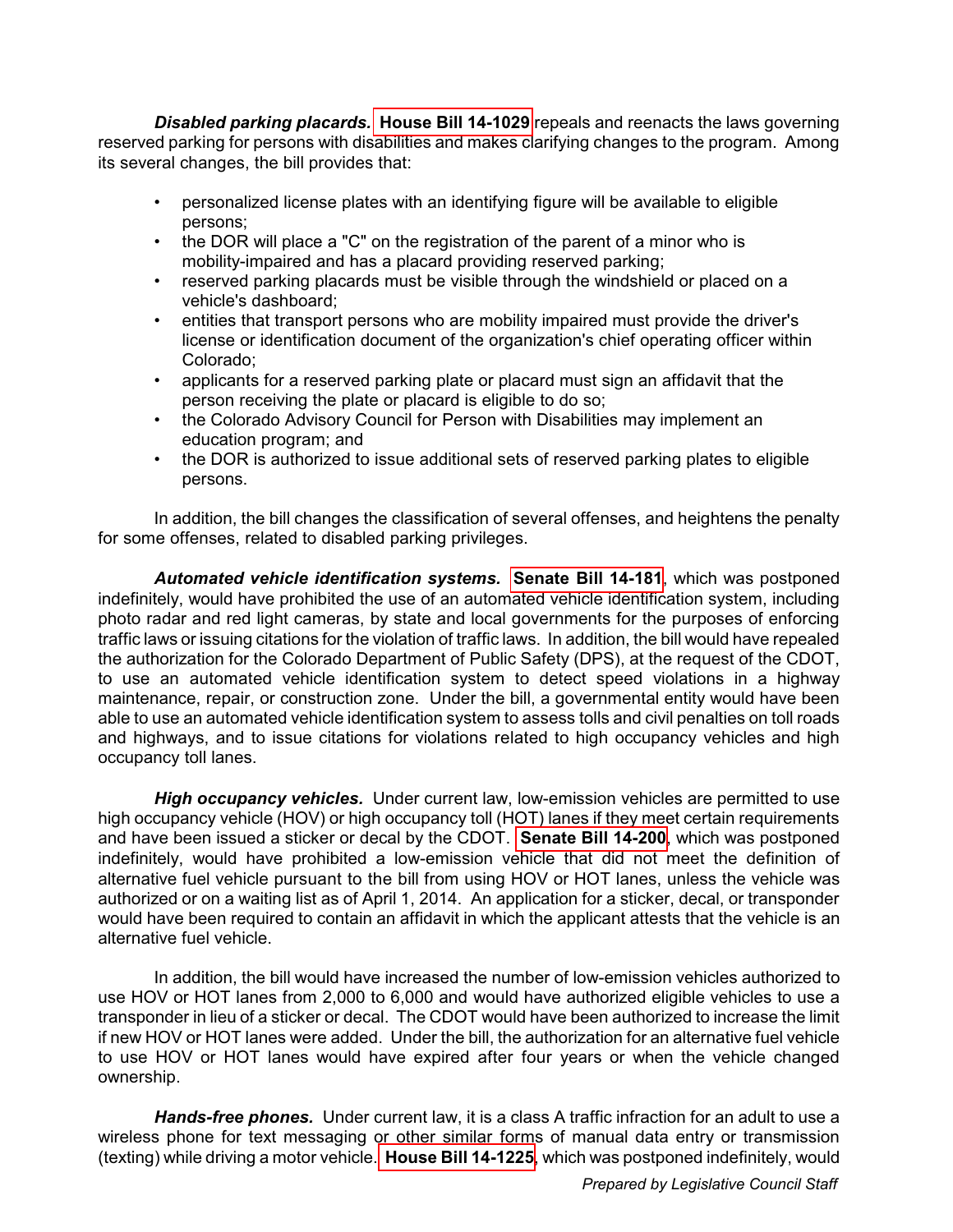<span id="page-3-0"></span>*Disabled parking placards.* **[House Bill 14-1029](http://www.leg.state.co.us/Clics/CLICS2014A/csl.nsf/fsbillcont3/3526978E916BDD7587257C300005B443?Open&file=1029_enr.pdf)** repeals and reenacts the laws governing reserved parking for persons with disabilities and makes clarifying changes to the program. Among its several changes, the bill provides that:

- personalized license plates with an identifying figure will be available to eligible persons;
- the DOR will place a "C" on the registration of the parent of a minor who is mobility-impaired and has a placard providing reserved parking;
- reserved parking placards must be visible through the windshield or placed on a vehicle's dashboard;
- entities that transport persons who are mobility impaired must provide the driver's license or identification document of the organization's chief operating officer within Colorado;
- applicants for a reserved parking plate or placard must sign an affidavit that the person receiving the plate or placard is eligible to do so;
- the Colorado Advisory Council for Person with Disabilities may implement an education program; and
- the DOR is authorized to issue additional sets of reserved parking plates to eligible persons.

In addition, the bill changes the classification of several offenses, and heightens the penalty for some offenses, related to disabled parking privileges.

*Automated vehicle identification systems.* **[Senate Bill 14-181](http://www.leg.state.co.us/Clics/CLICS2014A/csl.nsf/fsbillcont3/7343467DA7CE78A287257C3000063886?Open&file=181_ren.pdf)**, which was postponed indefinitely, would have prohibited the use of an automated vehicle identification system, including photo radar and red light cameras, by state and local governments for the purposes of enforcing traffic laws or issuing citations for the violation of traffic laws. In addition, the bill would have repealed the authorization for the Colorado Department of Public Safety (DPS), at the request of the CDOT, to use an automated vehicle identification system to detect speed violations in a highway maintenance, repair, or construction zone. Under the bill, a governmental entity would have been able to use an automated vehicle identification system to assess tolls and civil penalties on toll roads and highways, and to issue citations for violations related to high occupancy vehicles and high occupancy toll lanes.

*High occupancy vehicles.* Under current law, low-emission vehicles are permitted to use high occupancy vehicle (HOV) or high occupancy toll (HOT) lanes if they meet certain requirements and have been issued a sticker or decal by the CDOT. **[Senate Bill 14-200](http://www.leg.state.co.us/Clics/CLICS2014A/csl.nsf/fsbillcont3/ECD1FD15BDA6193987257C600004CD67?Open&file=200_01.pdf)**, which was postponed indefinitely, would have prohibited a low-emission vehicle that did not meet the definition of alternative fuel vehicle pursuant to the bill from using HOV or HOT lanes, unless the vehicle was authorized or on a waiting list as of April 1, 2014. An application for a sticker, decal, or transponder would have been required to contain an affidavit in which the applicant attests that the vehicle is an alternative fuel vehicle.

In addition, the bill would have increased the number of low-emission vehicles authorized to use HOV or HOT lanes from 2,000 to 6,000 and would have authorized eligible vehicles to use a transponder in lieu of a sticker or decal. The CDOT would have been authorized to increase the limit if new HOV or HOT lanes were added. Under the bill, the authorization for an alternative fuel vehicle to use HOV or HOT lanes would have expired after four years or when the vehicle changed ownership.

*Hands-free phones.* Under current law, it is a class A traffic infraction for an adult to use a wireless phone for text messaging or other similar forms of manual data entry or transmission (texting) while driving a motor vehicle. **[House Bill 14-1225](http://www.leg.state.co.us/Clics/CLICS2014A/csl.nsf/fsbillcont3/7D4AEAA8FFE6C25E87257C360075DE92?Open&file=1225_01.pdf)**, which was postponed indefinitely, would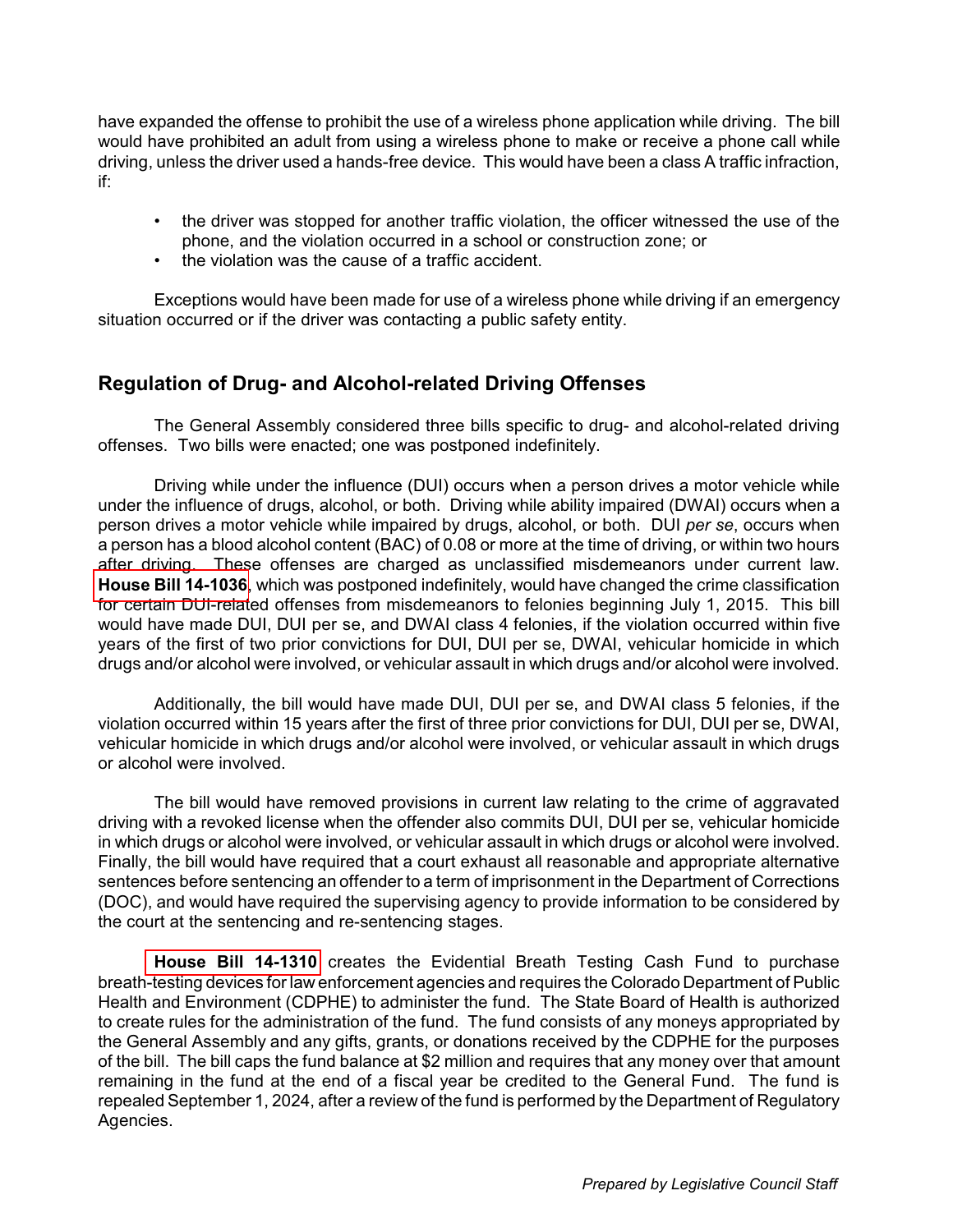<span id="page-4-0"></span>have expanded the offense to prohibit the use of a wireless phone application while driving. The bill would have prohibited an adult from using a wireless phone to make or receive a phone call while driving, unless the driver used a hands-free device. This would have been a class A traffic infraction, if:

- the driver was stopped for another traffic violation, the officer witnessed the use of the phone, and the violation occurred in a school or construction zone; or
- the violation was the cause of a traffic accident.

Exceptions would have been made for use of a wireless phone while driving if an emergency situation occurred or if the driver was contacting a public safety entity.

## **Regulation of Drug- and Alcohol-related Driving Offenses**

The General Assembly considered three bills specific to drug- and alcohol-related driving offenses. Two bills were enacted; one was postponed indefinitely.

Driving while under the influence (DUI) occurs when a person drives a motor vehicle while under the influence of drugs, alcohol, or both. Driving while ability impaired (DWAI) occurs when a person drives a motor vehicle while impaired by drugs, alcohol, or both. DUI *per se*, occurs when a person has a blood alcohol content (BAC) of 0.08 or more at the time of driving, or within two hours after driving. These offenses are charged as unclassified misdemeanors under current law. **[House Bill 14-1036](http://www.leg.state.co.us/Clics/CLICS2014A/csl.nsf/fsbillcont3/B405AB602852C5A587257C360075B4C8?Open&file=1036_ren.pdf)**, which was postponed indefinitely, would have changed the crime classification for certain DUI-related offenses from misdemeanors to felonies beginning July 1, 2015. This bill would have made DUI, DUI per se, and DWAI class 4 felonies, if the violation occurred within five years of the first of two prior convictions for DUI, DUI per se, DWAI, vehicular homicide in which drugs and/or alcohol were involved, or vehicular assault in which drugs and/or alcohol were involved.

Additionally, the bill would have made DUI, DUI per se, and DWAI class 5 felonies, if the violation occurred within 15 years after the first of three prior convictions for DUI, DUI per se, DWAI, vehicular homicide in which drugs and/or alcohol were involved, or vehicular assault in which drugs or alcohol were involved.

The bill would have removed provisions in current law relating to the crime of aggravated driving with a revoked license when the offender also commits DUI, DUI per se, vehicular homicide in which drugs or alcohol were involved, or vehicular assault in which drugs or alcohol were involved. Finally, the bill would have required that a court exhaust all reasonable and appropriate alternative sentences before sentencing an offender to a term of imprisonment in the Department of Corrections (DOC), and would have required the supervising agency to provide information to be considered by the court at the sentencing and re-sentencing stages.

**[House Bill 14-1310](http://www.leg.state.co.us/Clics/CLICS2014A/csl.nsf/fsbillcont3/AEFC7DD0102643AD87257C610056BE96?Open&file=1310_enr.pdf)** creates the Evidential Breath Testing Cash Fund to purchase breath-testing devices for law enforcement agencies and requires the Colorado Department of Public Health and Environment (CDPHE) to administer the fund. The State Board of Health is authorized to create rules for the administration of the fund. The fund consists of any moneys appropriated by the General Assembly and any gifts, grants, or donations received by the CDPHE for the purposes of the bill. The bill caps the fund balance at \$2 million and requires that any money over that amount remaining in the fund at the end of a fiscal year be credited to the General Fund. The fund is repealed September 1, 2024, after a review of the fund is performed by the Department of Regulatory Agencies.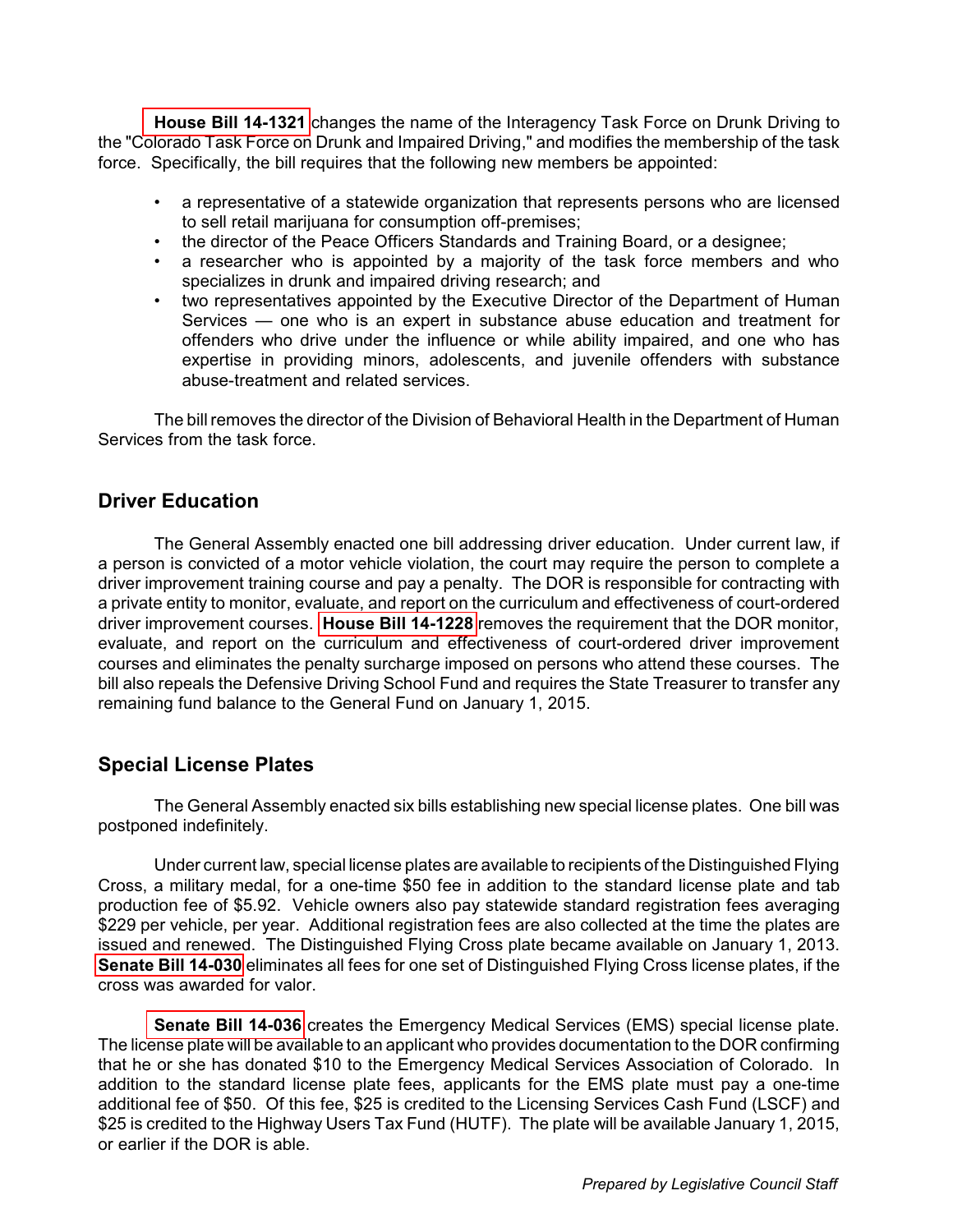<span id="page-5-0"></span>**[House Bill 14-1321](http://www.leg.state.co.us/Clics/CLICS2014A/csl.nsf/fsbillcont3/08F431088FD24A3487257C940059C454?Open&file=1321_enr.pdf)** changes the name of the Interagency Task Force on Drunk Driving to the "Colorado Task Force on Drunk and Impaired Driving," and modifies the membership of the task force. Specifically, the bill requires that the following new members be appointed:

- a representative of a statewide organization that represents persons who are licensed to sell retail marijuana for consumption off-premises;
- the director of the Peace Officers Standards and Training Board, or a designee;
- a researcher who is appointed by a majority of the task force members and who specializes in drunk and impaired driving research; and
- two representatives appointed by the Executive Director of the Department of Human Services — one who is an expert in substance abuse education and treatment for offenders who drive under the influence or while ability impaired, and one who has expertise in providing minors, adolescents, and juvenile offenders with substance abuse-treatment and related services.

The bill removes the director of the Division of Behavioral Health in the Department of Human Services from the task force.

## **Driver Education**

The General Assembly enacted one bill addressing driver education. Under current law, if a person is convicted of a motor vehicle violation, the court may require the person to complete a driver improvement training course and pay a penalty. The DOR is responsible for contracting with a private entity to monitor, evaluate, and report on the curriculum and effectiveness of court-ordered driver improvement courses. **[House Bill 14-1228](http://www.leg.state.co.us/Clics/CLICS2014A/csl.nsf/fsbillcont3/F48DDED1C0717B9C87257C5F007B0C9B?Open&file=1228_enr.pdf)** removes the requirement that the DOR monitor, evaluate, and report on the curriculum and effectiveness of court-ordered driver improvement courses and eliminates the penalty surcharge imposed on persons who attend these courses. The bill also repeals the Defensive Driving School Fund and requires the State Treasurer to transfer any remaining fund balance to the General Fund on January 1, 2015.

## **Special License Plates**

The General Assembly enacted six bills establishing new special license plates. One bill was postponed indefinitely.

Under current law, special license plates are available to recipients of the Distinguished Flying Cross, a military medal, for a one-time \$50 fee in addition to the standard license plate and tab production fee of \$5.92. Vehicle owners also pay statewide standard registration fees averaging \$229 per vehicle, per year. Additional registration fees are also collected at the time the plates are issued and renewed. The Distinguished Flying Cross plate became available on January 1, 2013. **[Senate Bill 14-030](http://www.leg.state.co.us/Clics/CLICS2014A/csl.nsf/fsbillcont3/4E71509FA8D9B7E287257C300006072D?Open&file=030_enr.pdf)** eliminates all fees for one set of Distinguished Flying Cross license plates, if the cross was awarded for valor.

**[Senate Bill 14-036](http://www.leg.state.co.us/Clics/CLICS2014A/csl.nsf/fsbillcont3/748CF7C7946268ED87257C3000070C4E?Open&file=036_enr.pdf)** creates the Emergency Medical Services (EMS) special license plate. The license plate will be available to an applicant who provides documentation to the DOR confirming that he or she has donated \$10 to the Emergency Medical Services Association of Colorado. In addition to the standard license plate fees, applicants for the EMS plate must pay a one-time additional fee of \$50. Of this fee, \$25 is credited to the Licensing Services Cash Fund (LSCF) and \$25 is credited to the Highway Users Tax Fund (HUTF). The plate will be available January 1, 2015, or earlier if the DOR is able.